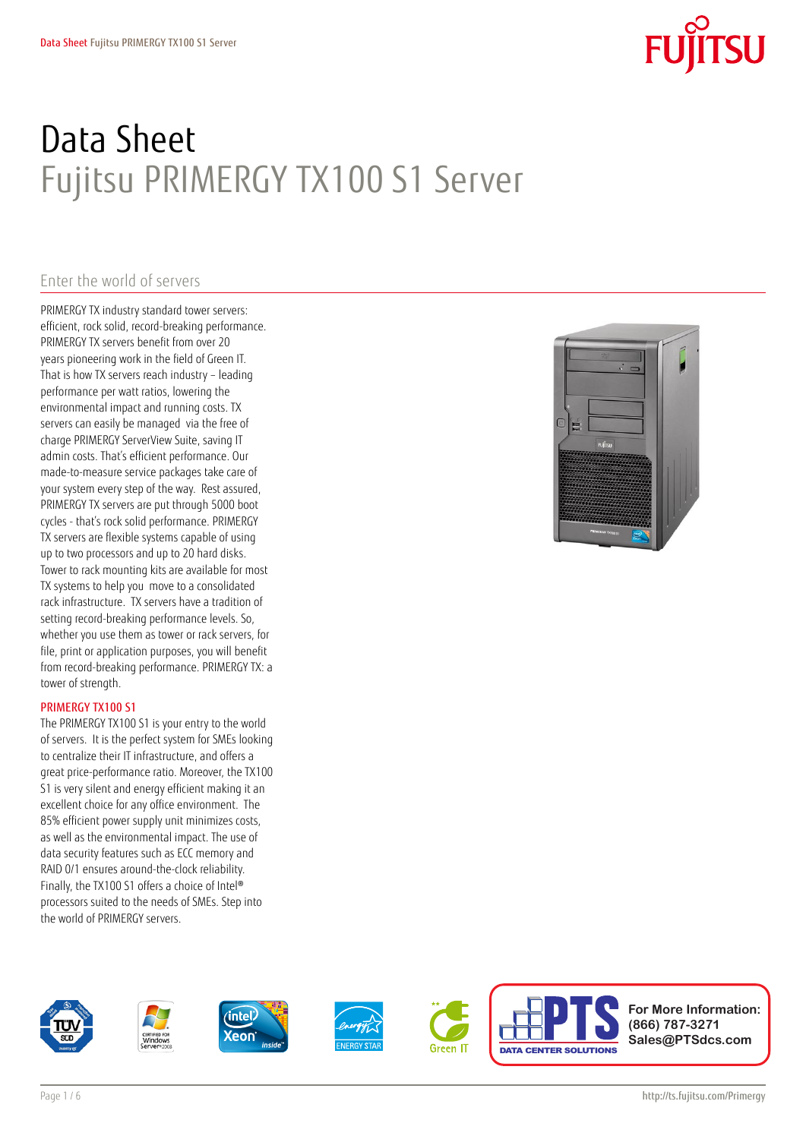# Data Sheet Fujitsu PRIMERGY TX100 S1 Server

### Enter the world of servers

PRIMERGY TX industry standard tower servers: efficient, rock solid, record-breaking performance. PRIMERGY TX servers benefit from over 20 years pioneering work in the field of Green IT. That is how TX servers reach industry – leading performance per watt ratios, lowering the environmental impact and running costs. TX servers can easily be managed via the free of charge PRIMERGY ServerView Suite, saving IT admin costs. That's efficient performance. Our made-to-measure service packages take care of your system every step of the way. Rest assured, PRIMERGY TX servers are put through 5000 boot cycles - that's rock solid performance. PRIMERGY TX servers are flexible systems capable of using up to two processors and up to 20 hard disks. Tower to rack mounting kits are available for most TX systems to help you move to a consolidated rack infrastructure. TX servers have a tradition of setting record-breaking performance levels. So, whether you use them as tower or rack servers, for file, print or application purposes, you will benefit from record-breaking performance. PRIMERGY TX: a tower of strength.

#### PRIMERGY TX100 S1

The PRIMERGY TX100 S1 is your entry to the world of servers. It is the perfect system for SMEs looking to centralize their IT infrastructure, and offers a great price-performance ratio. Moreover, the TX100 S1 is very silent and energy efficient making it an excellent choice for any office environment. The 85% efficient power supply unit minimizes costs, as well as the environmental impact. The use of data security features such as ECC memory and RAID 0/1 ensures around-the-clock reliability. Finally, the TX100 S1 offers a choice of Intel® processors suited to the needs of SMEs. Step into the world of PRIMERGY servers.



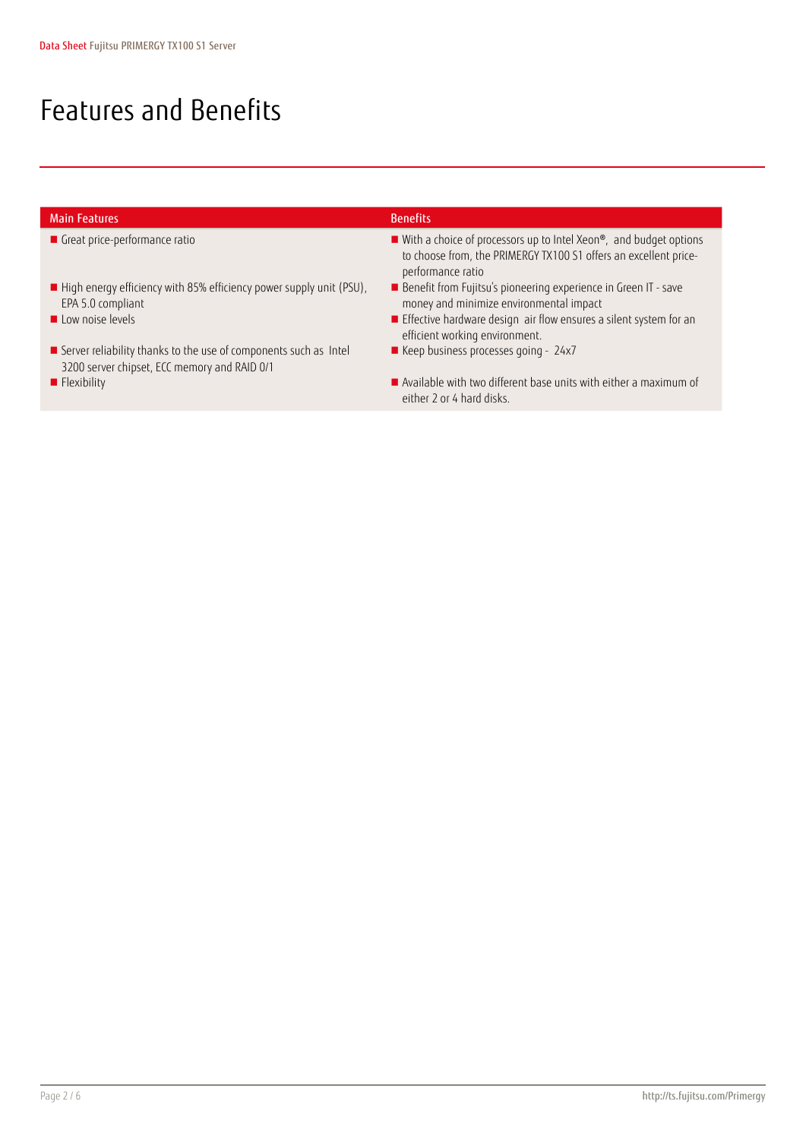### Features and Benefits

| <b>Main Features</b>                                                                                             | <b>Benefits</b>                                                                                                                                              |
|------------------------------------------------------------------------------------------------------------------|--------------------------------------------------------------------------------------------------------------------------------------------------------------|
| Great price-performance ratio                                                                                    | ■ With a choice of processors up to Intel Xeon®, and budget options<br>to choose from, the PRIMERGY TX100 S1 offers an excellent price-<br>performance ratio |
| $\blacksquare$ High energy efficiency with 85% efficiency power supply unit (PSU),<br>EPA 5.0 compliant          | Benefit from Fujitsu's pioneering experience in Green IT - save<br>money and minimize environmental impact                                                   |
| Low noise levels                                                                                                 | Effective hardware design air flow ensures a silent system for an<br>efficient working environment.                                                          |
| Server reliability thanks to the use of components such as Intel<br>3200 server chipset, ECC memory and RAID 0/1 | ■ Keep business processes going - 24x7                                                                                                                       |
| $\blacksquare$ Flexibility                                                                                       | $\blacksquare$ Available with two different base units with either a maximum of<br>either 2 or 4 hard disks.                                                 |
|                                                                                                                  |                                                                                                                                                              |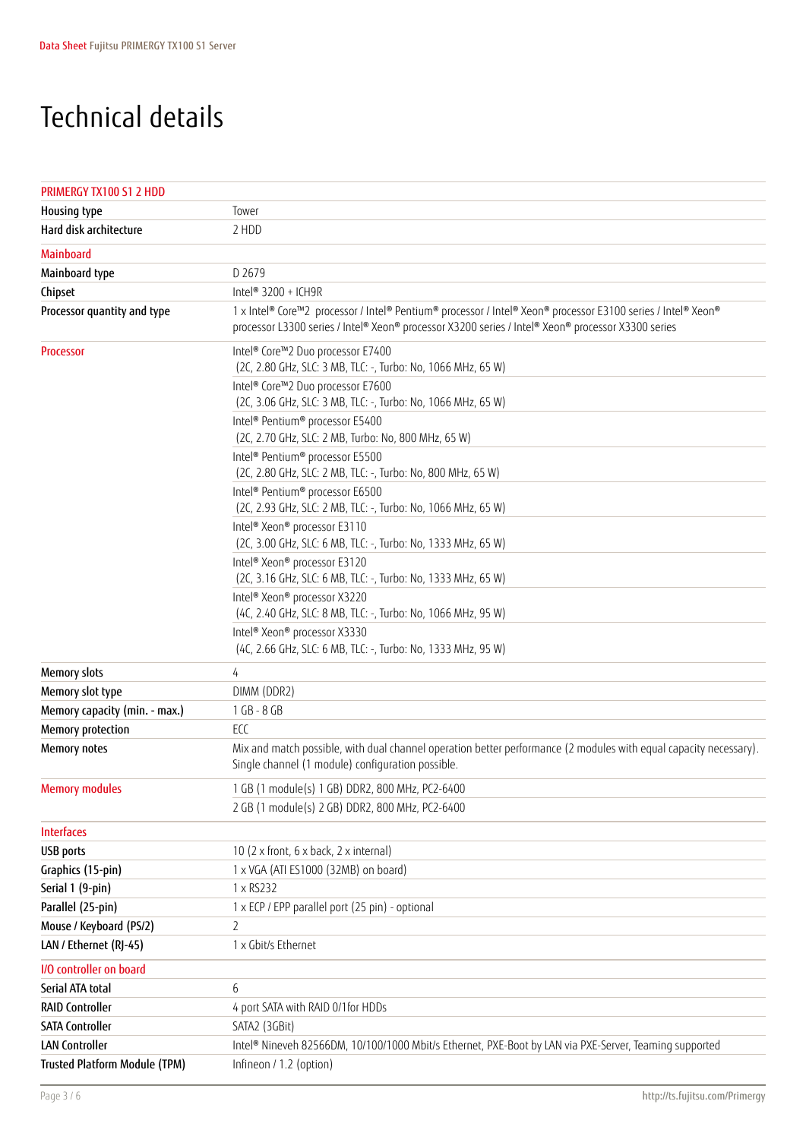### Technical details

| PRIMERGY TX100 S1 2 HDD       |                                                                                                                                                                                                                    |
|-------------------------------|--------------------------------------------------------------------------------------------------------------------------------------------------------------------------------------------------------------------|
| Housing type                  | Tower                                                                                                                                                                                                              |
| Hard disk architecture        | 2 HDD                                                                                                                                                                                                              |
| <b>Mainboard</b>              |                                                                                                                                                                                                                    |
| Mainboard type                | D 2679                                                                                                                                                                                                             |
| Chipset                       | Intel® 3200 + ICH9R                                                                                                                                                                                                |
| Processor quantity and type   | 1 x Intel® Core™2 processor / Intel® Pentium® processor / Intel® Xeon® processor E3100 series / Intel® Xeon®<br>processor L3300 series / Intel® Xeon® processor X3200 series / Intel® Xeon® processor X3300 series |
| Processor                     | Intel® Core™2 Duo processor E7400<br>(2C, 2.80 GHz, SLC: 3 MB, TLC: -, Turbo: No, 1066 MHz, 65 W)                                                                                                                  |
|                               | Intel® Core™2 Duo processor E7600<br>(2C, 3.06 GHz, SLC: 3 MB, TLC: -, Turbo: No, 1066 MHz, 65 W)                                                                                                                  |
|                               | Intel® Pentium® processor E5400<br>(2C, 2.70 GHz, SLC: 2 MB, Turbo: No, 800 MHz, 65 W)                                                                                                                             |
|                               | Intel® Pentium® processor E5500<br>(2C, 2.80 GHz, SLC: 2 MB, TLC: -, Turbo: No, 800 MHz, 65 W)                                                                                                                     |
|                               | Intel® Pentium® processor E6500<br>(2C, 2.93 GHz, SLC: 2 MB, TLC: -, Turbo: No, 1066 MHz, 65 W)                                                                                                                    |
|                               | Intel <sup>®</sup> Xeon <sup>®</sup> processor E3110<br>(2C, 3.00 GHz, SLC: 6 MB, TLC: -, Turbo: No, 1333 MHz, 65 W)                                                                                               |
|                               | Intel <sup>®</sup> Xeon <sup>®</sup> processor E3120<br>(2C, 3.16 GHz, SLC: 6 MB, TLC: -, Turbo: No, 1333 MHz, 65 W)                                                                                               |
|                               | Intel® Xeon® processor X3220<br>(4C, 2.40 GHz, SLC: 8 MB, TLC: -, Turbo: No, 1066 MHz, 95 W)                                                                                                                       |
|                               | Intel® Xeon® processor X3330<br>(4C, 2.66 GHz, SLC: 6 MB, TLC: -, Turbo: No, 1333 MHz, 95 W)                                                                                                                       |
| <b>Memory slots</b>           | 4                                                                                                                                                                                                                  |
| Memory slot type              | DIMM (DDR2)                                                                                                                                                                                                        |
| Memory capacity (min. - max.) | 1 GB - 8 GB                                                                                                                                                                                                        |
| Memory protection             | ECC                                                                                                                                                                                                                |
| Memory notes                  | Mix and match possible, with dual channel operation better performance (2 modules with equal capacity necessary).<br>Single channel (1 module) configuration possible.                                             |
| <b>Memory modules</b>         | 1 GB (1 module(s) 1 GB) DDR2, 800 MHz, PC2-6400                                                                                                                                                                    |
|                               | 2 GB (1 module(s) 2 GB) DDR2, 800 MHz, PC2-6400                                                                                                                                                                    |
| <b>Interfaces</b>             |                                                                                                                                                                                                                    |
| <b>USB</b> ports              | 10 (2 x front, 6 x back, 2 x internal)                                                                                                                                                                             |
| Graphics (15-pin)             | 1 x VGA (ATI ES1000 (32MB) on board)                                                                                                                                                                               |
| Serial 1 (9-pin)              | 1 x RS232                                                                                                                                                                                                          |
| Parallel (25-pin)             | 1 x ECP / EPP parallel port (25 pin) - optional                                                                                                                                                                    |
| Mouse / Keyboard (PS/2)       | 2                                                                                                                                                                                                                  |
| LAN / Ethernet (RJ-45)        | 1 x Gbit/s Ethernet                                                                                                                                                                                                |
| I/O controller on board       |                                                                                                                                                                                                                    |
| Serial ATA total              | 6                                                                                                                                                                                                                  |
| <b>RAID Controller</b>        | 4 port SATA with RAID 0/1for HDDs                                                                                                                                                                                  |
| <b>SATA Controller</b>        | SATA2 (3GBit)                                                                                                                                                                                                      |
| <b>LAN Controller</b>         | Intel® Nineveh 82566DM, 10/100/1000 Mbit/s Ethernet, PXE-Boot by LAN via PXE-Server, Teaming supported                                                                                                             |
| Trusted Platform Module (TPM) | Infineon / 1.2 (option)                                                                                                                                                                                            |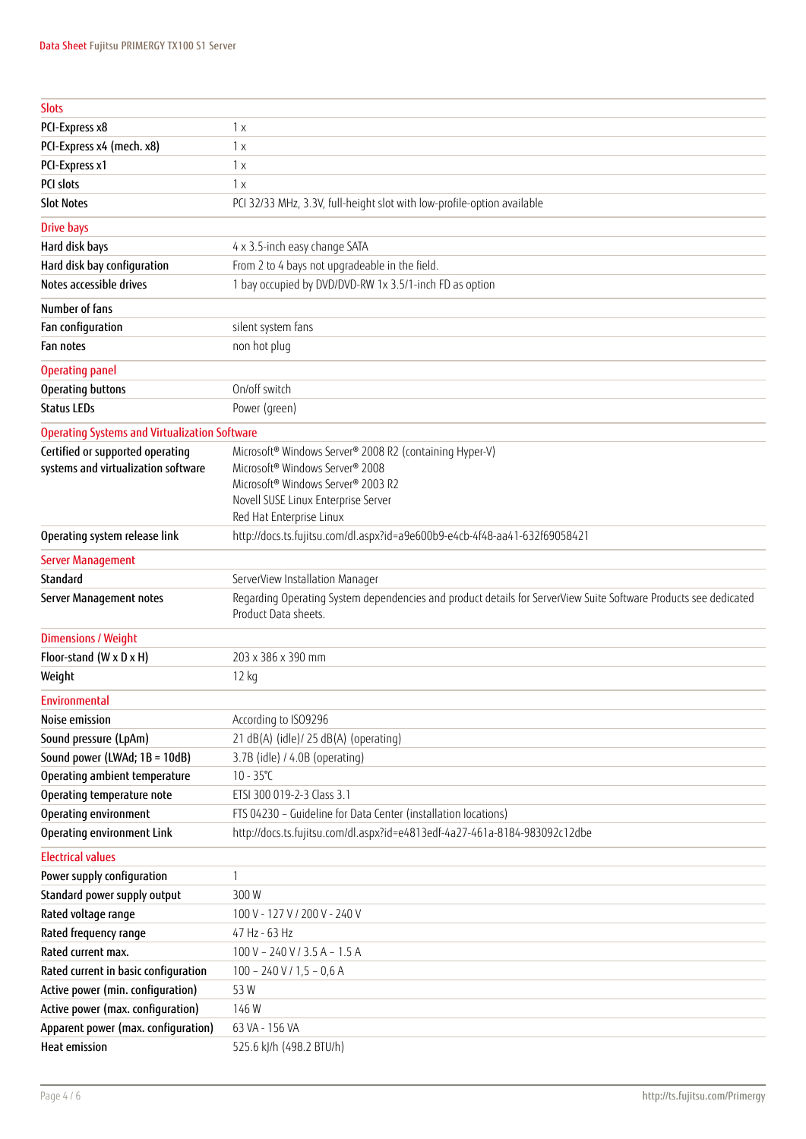| <b>Slots</b>                                                |                                                                                                                                          |  |
|-------------------------------------------------------------|------------------------------------------------------------------------------------------------------------------------------------------|--|
| PCI-Express x8                                              | 1x                                                                                                                                       |  |
| PCI-Express x4 (mech. x8)                                   | 1x                                                                                                                                       |  |
| PCI-Express x1                                              | 1x                                                                                                                                       |  |
| PCI slots                                                   | 1x                                                                                                                                       |  |
| <b>Slot Notes</b>                                           | PCI 32/33 MHz, 3.3V, full-height slot with low-profile-option available                                                                  |  |
| <b>Drive bays</b>                                           |                                                                                                                                          |  |
| Hard disk bays                                              | 4 x 3.5-inch easy change SATA                                                                                                            |  |
| Hard disk bay configuration                                 | From 2 to 4 bays not upgradeable in the field.                                                                                           |  |
| Notes accessible drives                                     | 1 bay occupied by DVD/DVD-RW 1x 3.5/1-inch FD as option                                                                                  |  |
| Number of fans                                              |                                                                                                                                          |  |
| Fan configuration                                           | silent system fans                                                                                                                       |  |
| Fan notes                                                   | non hot plug                                                                                                                             |  |
| <b>Operating panel</b>                                      |                                                                                                                                          |  |
| Operating buttons                                           | On/off switch                                                                                                                            |  |
| <b>Status LEDs</b>                                          | Power (green)                                                                                                                            |  |
| <b>Operating Systems and Virtualization Software</b>        |                                                                                                                                          |  |
| Certified or supported operating                            | Microsoft® Windows Server® 2008 R2 (containing Hyper-V)                                                                                  |  |
| systems and virtualization software                         | Microsoft <sup>®</sup> Windows Server® 2008                                                                                              |  |
|                                                             | Microsoft® Windows Server® 2003 R2                                                                                                       |  |
|                                                             | Novell SUSE Linux Enterprise Server<br>Red Hat Enterprise Linux                                                                          |  |
| Operating system release link                               | http://docs.ts.fujitsu.com/dl.aspx?id=a9e600b9-e4cb-4f48-aa41-632f69058421                                                               |  |
| <b>Server Management</b>                                    |                                                                                                                                          |  |
| Standard                                                    | ServerView Installation Manager                                                                                                          |  |
| Server Management notes                                     | Regarding Operating System dependencies and product details for ServerView Suite Software Products see dedicated<br>Product Data sheets. |  |
| <b>Dimensions / Weight</b>                                  |                                                                                                                                          |  |
|                                                             |                                                                                                                                          |  |
| Floor-stand (W x D x H)                                     | 203 x 386 x 390 mm                                                                                                                       |  |
| Weight                                                      | 12 kg                                                                                                                                    |  |
| Environmental                                               |                                                                                                                                          |  |
| Noise emission                                              |                                                                                                                                          |  |
|                                                             | According to ISO9296                                                                                                                     |  |
| Sound pressure (LpAm)<br>Sound power (LWAd; 1B = 10dB)      | 21 dB(A) (idle)/ 25 dB(A) (operating)<br>3.7B (idle) / 4.0B (operating)                                                                  |  |
| Operating ambient temperature                               | $10 - 35^{\circ}C$                                                                                                                       |  |
| Operating temperature note                                  | ETSI 300 019-2-3 Class 3.1                                                                                                               |  |
| Operating environment                                       | FTS 04230 - Guideline for Data Center (installation locations)                                                                           |  |
| Operating environment Link                                  | http://docs.ts.fujitsu.com/dl.aspx?id=e4813edf-4a27-461a-8184-983092c12dbe                                                               |  |
| <b>Electrical values</b>                                    |                                                                                                                                          |  |
| Power supply configuration                                  | 1                                                                                                                                        |  |
| Standard power supply output                                | 300W                                                                                                                                     |  |
| Rated voltage range                                         | 100 V - 127 V / 200 V - 240 V                                                                                                            |  |
| Rated frequency range                                       | 47 Hz - 63 Hz                                                                                                                            |  |
| Rated current max.                                          | $100 V - 240 V / 3.5 A - 1.5 A$                                                                                                          |  |
| Rated current in basic configuration                        | $100 - 240$ V / $1,5 - 0,6$ A                                                                                                            |  |
| Active power (min. configuration)                           | 53W                                                                                                                                      |  |
| Active power (max. configuration)                           | 146W                                                                                                                                     |  |
| Apparent power (max. configuration)<br><b>Heat emission</b> | 63 VA - 156 VA                                                                                                                           |  |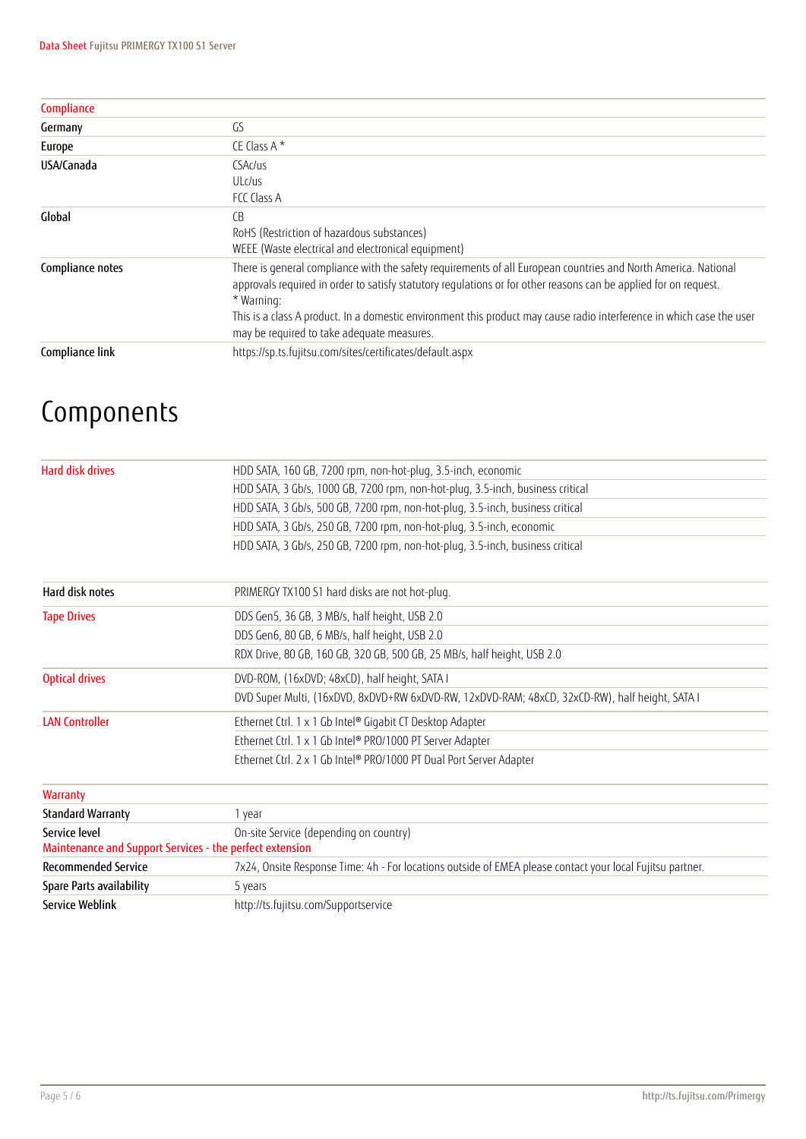| Compliance       |                                                                                                                                                                                                                                                                                                                                                                                                                         |
|------------------|-------------------------------------------------------------------------------------------------------------------------------------------------------------------------------------------------------------------------------------------------------------------------------------------------------------------------------------------------------------------------------------------------------------------------|
| Germany          | GS                                                                                                                                                                                                                                                                                                                                                                                                                      |
| Europe           | CE Class A $*$                                                                                                                                                                                                                                                                                                                                                                                                          |
| USA/Canada       | CSAc/us<br>ULc/us<br>FCC Class A                                                                                                                                                                                                                                                                                                                                                                                        |
| Global           | C <sub>B</sub><br>RoHS (Restriction of hazardous substances)<br>WEEE (Waste electrical and electronical equipment)                                                                                                                                                                                                                                                                                                      |
| Compliance notes | There is general compliance with the safety requirements of all European countries and North America. National<br>approvals required in order to satisfy statutory regulations or for other reasons can be applied for on request.<br>* Warning:<br>This is a class A product. In a domestic environment this product may cause radio interference in which case the user<br>may be required to take adequate measures. |
| Compliance link  | https://sp.ts.fujitsu.com/sites/certificates/default.aspx                                                                                                                                                                                                                                                                                                                                                               |

## Components

| <b>Hard disk drives</b>                                  | HDD SATA, 160 GB, 7200 rpm, non-hot-plug, 3.5-inch, economic                                              |  |  |
|----------------------------------------------------------|-----------------------------------------------------------------------------------------------------------|--|--|
|                                                          | HDD SATA, 3 Gb/s, 1000 GB, 7200 rpm, non-hot-plug, 3.5-inch, business critical                            |  |  |
|                                                          | HDD SATA, 3 Gb/s, 500 GB, 7200 rpm, non-hot-plug, 3.5-inch, business critical                             |  |  |
|                                                          | HDD SATA, 3 Gb/s, 250 GB, 7200 rpm, non-hot-plug, 3.5-inch, economic                                      |  |  |
|                                                          | HDD SATA, 3 Gb/s, 250 GB, 7200 rpm, non-hot-plug, 3.5-inch, business critical                             |  |  |
| Hard disk notes                                          | PRIMERGY TX100 S1 hard disks are not hot-plug.                                                            |  |  |
| <b>Tape Drives</b>                                       | DDS Gen5, 36 GB, 3 MB/s, half height, USB 2.0                                                             |  |  |
|                                                          | DDS Gen6, 80 GB, 6 MB/s, half height, USB 2.0                                                             |  |  |
|                                                          | RDX Drive, 80 GB, 160 GB, 320 GB, 500 GB, 25 MB/s, half height, USB 2.0                                   |  |  |
| <b>Optical drives</b>                                    | DVD-ROM, (16xDVD; 48xCD), half height, SATA I                                                             |  |  |
|                                                          | DVD Super Multi, (16xDVD, 8xDVD+RW 6xDVD-RW, 12xDVD-RAM; 48xCD, 32xCD-RW), half height, SATA I            |  |  |
| <b>LAN Controller</b>                                    | Ethernet Ctrl. 1 x 1 Gb Intel® Gigabit CT Desktop Adapter                                                 |  |  |
|                                                          | Ethernet Ctrl. 1 x 1 Gb Intel® PRO/1000 PT Server Adapter                                                 |  |  |
|                                                          | Ethernet Ctrl. 2 x 1 Gb Intel® PRO/1000 PT Dual Port Server Adapter                                       |  |  |
| <b>Warranty</b>                                          |                                                                                                           |  |  |
| <b>Standard Warranty</b>                                 | 1 year                                                                                                    |  |  |
| Service level                                            | On-site Service (depending on country)                                                                    |  |  |
| Maintenance and Support Services - the perfect extension |                                                                                                           |  |  |
| <b>Recommended Service</b>                               | 7x24, Onsite Response Time: 4h - For locations outside of EMEA please contact your local Fujitsu partner. |  |  |
| Spare Parts availability                                 | 5 years                                                                                                   |  |  |
| <b>Service Weblink</b>                                   | http://ts.fujitsu.com/Supportservice                                                                      |  |  |